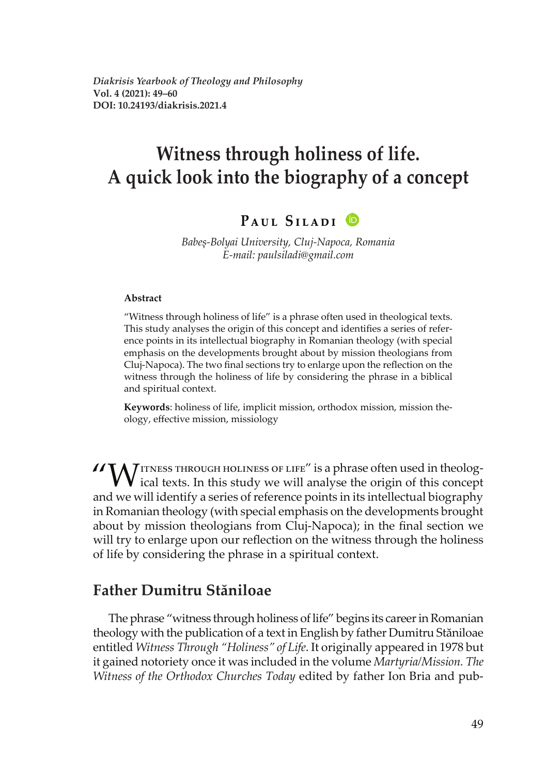*Diakrisis Yearbook of Theology and Philosophy* **Vol. 4 (2021): 49–60 DOI: 10.24193/diakrisis.2021.4**

# **Witness through holiness of life. A quick look into the biography of a concept**

### **PAUL SILADI ID**

Babes-Bolyai University, Cluj-Napoca, Romania E-mail: paulsiladi@gmail.com

#### **Abstract**

"Witness through holiness of life" is a phrase often used in theological texts. This study analyses the origin of this concept and identifies a series of reference points in its intellectual biography in Romanian theology (with special emphasis on the developments brought about by mission theologians from Cluj-Napoca). The two final sections try to enlarge upon the reflection on the witness through the holiness of life by considering the phrase in a biblical and spiritual context.

**Keywords**: holiness of life, implicit mission, orthodox mission, mission the ology, effective mission, missiology

WITNESS THROUGH HOLINESS OF LIFE" is a phrase often used in theolog- $\sqrt{\ }$  ical texts. In this study we will analyse the origin of this concept and we will identify a series of reference points in its intellectual biography in Romanian theology (with special emphasis on the developments brought about by mission theologians from Cluj-Napoca); in the final section we will try to enlarge upon our reflection on the witness through the holiness of life by considering the phrase in a spiritual context.

### **Father Dumitru Stăniloae**

The phrase "witness through holiness of life" begins its career in Romanian theology with the publication of a text in English by father Dumitru Stăniloae entitled *Witness Through "Holiness" of Life*. It originally appeared in 1978 but it gained notoriety once it was included in the volume *Martyria/Mission*. The *Witness of the Orthodox Churches Today* edited by father Ion Bria and pub-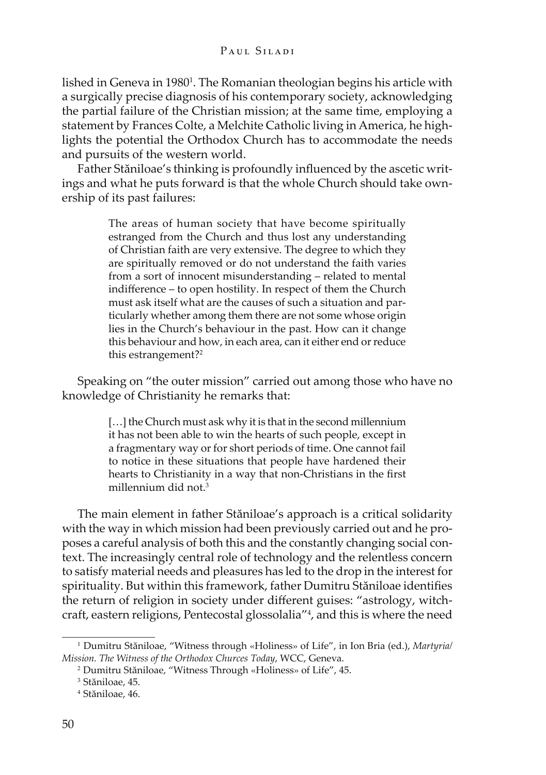lished in Geneva in 1980<sup>1</sup>. The Romanian theologian begins his article with a surgically precise diagnosis of his contemporary society, acknowledging the partial failure of the Christian mission; at the same time, employing a statement by Frances Colte, a Melchite Catholic living in America, he highlights the potential the Orthodox Church has to accommodate the needs and pursuits of the western world.

Father Stăniloae's thinking is profoundly influenced by the ascetic writings and what he puts forward is that the whole Church should take ownership of its past failures:

> The areas of human society that have become spiritually estranged from the Church and thus lost any understanding of Christian faith are very extensive. The degree to which they are spiritually removed or do not understand the faith varies from a sort of innocent misunderstanding – related to mental indifference – to open hostility. In respect of them the Church must ask itself what are the causes of such a situation and particularly whether among them there are not some whose origin lies in the Church's behaviour in the past. How can it change this behaviour and how, in each area, can it either end or reduce this estrangement?2

Speaking on "the outer mission" carried out among those who have no knowledge of Christianity he remarks that:

> [...] the Church must ask why it is that in the second millennium it has not been able to win the hearts of such people, except in a fragmentary way or for short periods of time. One cannot fail to notice in these situations that people have hardened their hearts to Christianity in a way that non-Christians in the first millennium did not.3

The main element in father Stăniloae's approach is a critical solidarity with the way in which mission had been previously carried out and he proposes a careful analysis of both this and the constantly changing social context. The increasingly central role of technology and the relentless concern to satisfy material needs and pleasures has led to the drop in the interest for spirituality. But within this framework, father Dumitru Stăniloae identifies the return of religion in society under different guises: "astrology, witchcraft, eastern religions, Pentecostal glossolalia"4 , and this is where the need

<sup>&</sup>lt;sup>1</sup> Dumitru Stăniloae, "Witness through «Holiness» of Life", in Ion Bria (ed.), Martyria/ *Mission. The Witness of the Orthodox Churces Today, WCC, Geneva.* 

<sup>&</sup>lt;sup>2</sup> Dumitru Stăniloae, "Witness Through «Holiness» of Life", 45.

<sup>&</sup>lt;sup>3</sup> Stăniloae, 45.

<sup>&</sup>lt;sup>4</sup> Stăniloae, 46.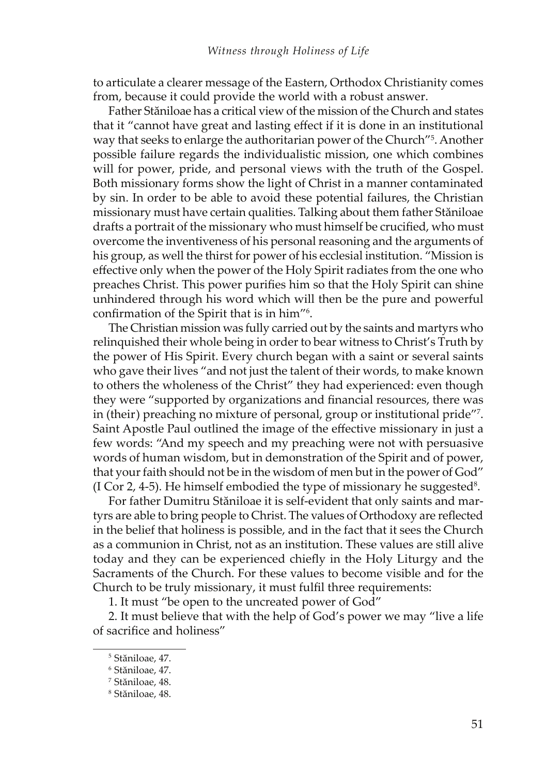to articulate a clearer message of the Eastern, Orthodox Christianity comes from, because it could provide the world with a robust answer.

Father Stăniloae has a critical view of the mission of the Church and states that it "cannot have great and lasting effect if it is done in an institutional way that seeks to enlarge the authoritarian power of the Church"<sup>5</sup>. Another possible failure regards the individualistic mission, one which combines will for power, pride, and personal views with the truth of the Gospel. Both missionary forms show the light of Christ in a manner contaminated by sin. In order to be able to avoid these potential failures, the Christian missionary must have certain qualities. Talking about them father Stăniloae drafts a portrait of the missionary who must himself be crucified, who must overcome the inventiveness of his personal reasoning and the arguments of his group, as well the thirst for power of his ecclesial institution. "Mission is effective only when the power of the Holy Spirit radiates from the one who preaches Christ. This power purifies him so that the Holy Spirit can shine unhindered through his word which will then be the pure and powerful confirmation of the Spirit that is in him"<sup>6</sup>.

The Christian mission was fully carried out by the saints and martyrs who relinquished their whole being in order to bear witness to Christ's Truth by the power of His Spirit. Every church began with a saint or several saints who gave their lives "and not just the talent of their words, to make known to others the wholeness of the Christ" they had experienced: even though they were "supported by organizations and financial resources, there was in (their) preaching no mixture of personal, group or institutional pride"7 . Saint Apostle Paul outlined the image of the effective missionary in just a few words: "And my speech and my preaching were not with persuasive words of human wisdom, but in demonstration of the Spirit and of power, that your faith should not be in the wisdom of men but in the power of God" (I Cor 2, 4-5). He himself embodied the type of missionary he suggested<sup>8</sup>.

For father Dumitru Stăniloae it is self-evident that only saints and martyrs are able to bring people to Christ. The values of Orthodoxy are reflected in the belief that holiness is possible, and in the fact that it sees the Church as a communion in Christ, not as an institution. These values are still alive today and they can be experienced chiefly in the Holy Liturgy and the Sacraments of the Church. For these values to become visible and for the Church to be truly missionary, it must fulfil three requirements:

1. It must "be open to the uncreated power of God"

2. It must believe that with the help of God's power we may "live a life of sacrifice and holiness"

<sup>&</sup>lt;sup>5</sup> Stăniloae, 47.

<sup>&</sup>lt;sup>6</sup> Stăniloae, 47.

<sup>&</sup>lt;sup>7</sup> Stăniloae, 48.

<sup>&</sup>lt;sup>8</sup> Stăniloae, 48.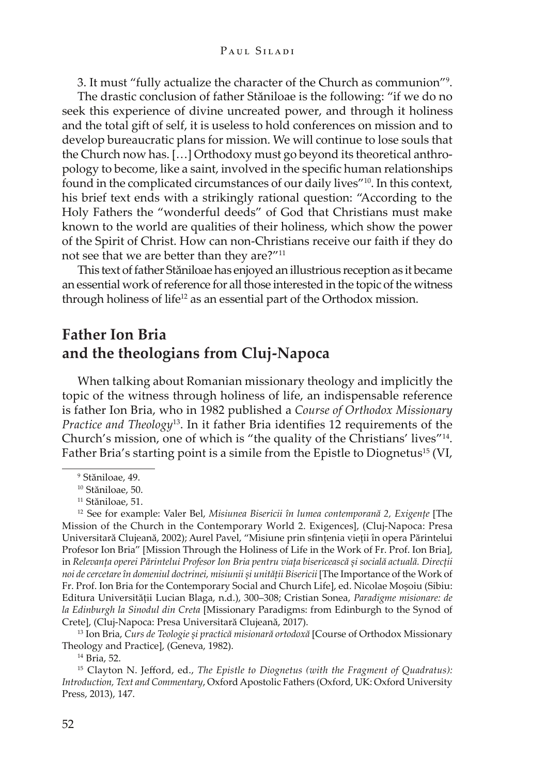3. It must "fully actualize the character of the Church as communion"9 .

The drastic conclusion of father Stăniloae is the following: "if we do no seek this experience of divine uncreated power, and through it holiness and the total gift of self, it is useless to hold conferences on mission and to develop bureaucratic plans for mission. We will continue to lose souls that the Church now has. […] Orthodoxy must go beyond its theoretical anthro pology to become, like a saint, involved in the specific human relationships found in the complicated circumstances of our daily lives"10. In this context, his brief text ends with a strikingly rational question: "According to the Holy Fathers the "wonderful deeds" of God that Christians must make known to the world are qualities of their holiness, which show the power of the Spirit of Christ. How can non-Christians receive our faith if they do not see that we are better than they are?"<sup>11</sup>

This text of father Stăniloae has enjoyed an illustrious reception as it became an essential work of reference for all those interested in the topic of the witness through holiness of life<sup>12</sup> as an essential part of the Orthodox mission.

# **Father Ion Bria and the theologians from Cluj-Napoca**

When talking about Romanian missionary theology and implicitly the topic of the witness through holiness of life, an indispensable reference is father Ion Bria, who in 1982 published a *Course of Orthodox Missionary Practice and Theology*<sup>13</sup>. In it father Bria identifies 12 requirements of the Church's mission, one of which is "the quality of the Christians' lives"<sup>14</sup>. Father Bria's starting point is a simile from the Epistle to Diognetus<sup>15</sup> (VI,

<sup>13</sup> Ion Bria, *Curs de Teologie și practică misionară ortodoxă* [Course of Orthodox Missionary Theology and Practice], (Geneva, 1982).

<sup>&</sup>lt;sup>9</sup> Stăniloae, 49.

<sup>&</sup>lt;sup>10</sup> Stăniloae, 50.

<sup>&</sup>lt;sup>11</sup> Stăniloae, 51.

<sup>&</sup>lt;sup>12</sup> See for example: Valer Bel, Misiunea Bisericii în lumea contemporană 2, Exigențe [The Mission of the Church in the Contemporary World 2. Exigences], (Cluj-Napoca: Presa Universitară Clujeană, 2002); Aurel Pavel, "Misiune prin sfințenia vieții în opera Părintelui Profesor Ion Bria" [Mission Through the Holiness of Life in the Work of Fr. Prof. Ion Bria], in Relevanța operei Părintelui Profesor Ion Bria pentru viața bisericească și socială actuală. Direcții noi de cercetare în domeniul doctrinei, misiunii și unității Bisericii [The Importance of the Work of Fr. Prof. Ion Bria for the Contemporary Social and Church Life], ed. Nicolae Moșoiu (Sibiu: Editura Universității Lucian Blaga, n.d.), 300-308; Cristian Sonea, Paradigme misionare: de *la Edinburgh la Sinodul din Creta* [Missionary Paradigms: from Edinburgh to the Synod of Cretel, (Cluj-Napoca: Presa Universitară Clujeană, 2017).

<sup>14</sup> Bria, 52.

<sup>&</sup>lt;sup>15</sup> Clayton N. Jefford, ed., The Epistle to Diognetus (with the Fragment of Quadratus): *Introduction, Text and Commentary, Oxford Apostolic Fathers (Oxford, UK: Oxford University* Press, 2013), 147.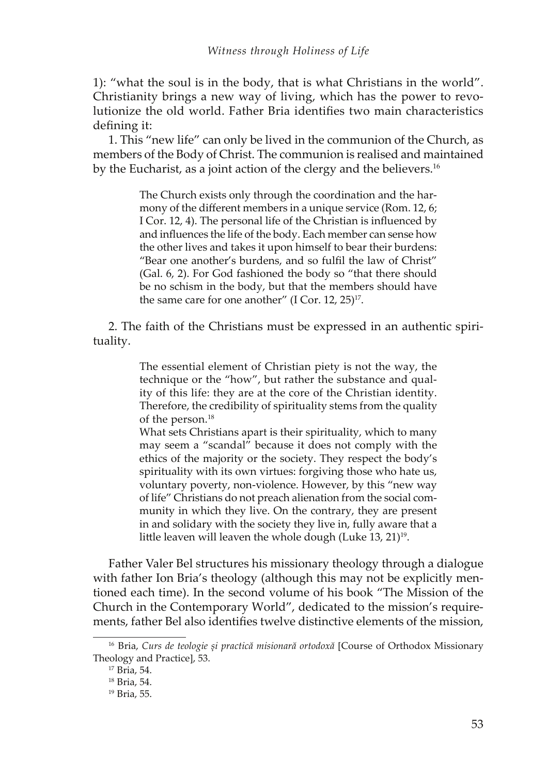1): "what the soul is in the body, that is what Christians in the world". Christianity brings a new way of living, which has the power to revo lutionize the old world. Father Bria identifies two main characteristics defining it:

1. This "new life" can only be lived in the communion of the Church, as members of the Body of Christ. The communion is realised and maintained by the Eucharist, as a joint action of the clergy and the believers.<sup>16</sup>

> The Church exists only through the coordination and the har mony of the different members in a unique service (Rom. 12, 6; I Cor. 12, 4). The personal life of the Christian is influenced by and influences the life of the body. Each member can sense how the other lives and takes it upon himself to bear their burdens: "Bear one another's burdens, and so fulfil the law of Christ" (Gal. 6, 2). For God fashioned the body so "that there should be no schism in the body, but that the members should have the same care for one another" (I Cor. 12, 25)<sup>17</sup>.

2. The faith of the Christians must be expressed in an authentic spirituality.

> The essential element of Christian piety is not the way, the technique or the "how", but rather the substance and quality of this life: they are at the core of the Christian identity. Therefore, the credibility of spirituality stems from the quality of the person.18

> What sets Christians apart is their spirituality, which to many may seem a "scandal" because it does not comply with the ethics of the majority or the society. They respect the body's spirituality with its own virtues: forgiving those who hate us, voluntary poverty, non-violence. However, by this "new way of life" Christians do not preach alienation from the social community in which they live. On the contrary, they are present in and solidary with the society they live in, fully aware that a little leaven will leaven the whole dough (Luke  $13$ ,  $21$ )<sup>19</sup>.

Father Valer Bel structures his missionary theology through a dialogue with father Ion Bria's theology (although this may not be explicitly mentioned each time). In the second volume of his book "The Mission of the Church in the Contemporary World", dedicated to the mission's requirements, father Bel also identifies twelve distinctive elements of the mission,

<sup>&</sup>lt;sup>16</sup> Bria, *Curs de teologie și practică misionară ortodoxă* [Course of Orthodox Missionary Theology and Practice], 53.

<sup>17</sup> Bria, 54.

<sup>18</sup> Bria, 54.

<sup>19</sup> Bria, 55.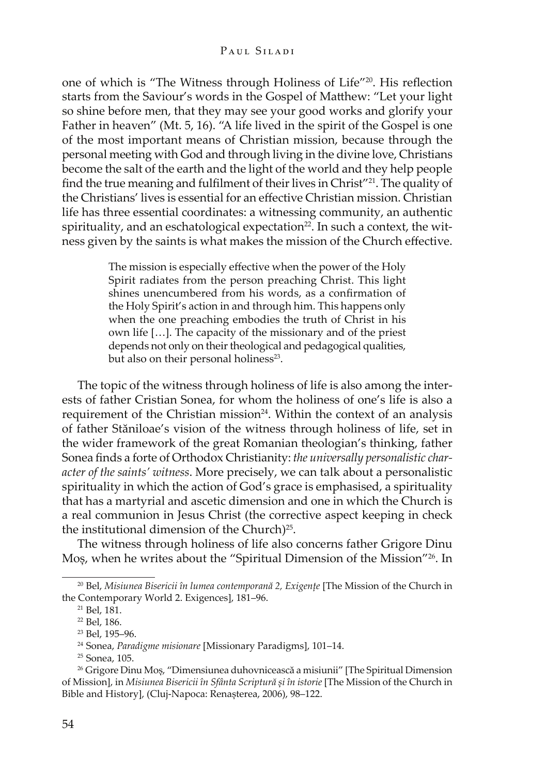one of which is "The Witness through Holiness of Life"<sup>20</sup>. His reflection starts from the Saviour's words in the Gospel of Matthew: "Let your light so shine before men, that they may see your good works and glorify your Father in heaven" (Mt. 5, 16). "A life lived in the spirit of the Gospel is one of the most important means of Christian mission, because through the personal meeting with God and through living in the divine love, Christians become the salt of the earth and the light of the world and they help people find the true meaning and fulfilment of their lives in Christ"<sup>21</sup>. The quality of the Christians' lives is essential for an effective Christian mission. Christian life has three essential coordinates: a witnessing community, an authentic spirituality, and an eschatological expectation<sup>22</sup>. In such a context, the witness given by the saints is what makes the mission of the Church effective.

> The mission is especially effective when the power of the Holy Spirit radiates from the person preaching Christ. This light shines unencumbered from his words, as a confirmation of the Holy Spirit's action in and through him. This happens only when the one preaching embodies the truth of Christ in his own life […]. The capacity of the missionary and of the priest depends not only on their theological and pedagogical qualities, but also on their personal holiness<sup>23</sup>.

The topic of the witness through holiness of life is also among the inter ests of father Cristian Sonea, for whom the holiness of one's life is also a requirement of the Christian mission<sup>24</sup>. Within the context of an analysis of father Stăniloae's vision of the witness through holiness of life, set in the wider framework of the great Romanian theologian's thinking, father Sonea finds a forte of Orthodox Christianity: the universally personalistic character of the saints' witness. More precisely, we can talk about a personalistic spirituality in which the action of God's grace is emphasised, a spirituality that has a martyrial and ascetic dimension and one in which the Church is a real communion in Jesus Christ (the corrective aspect keeping in check the institutional dimension of the Church)<sup>25</sup>.

The witness through holiness of life also concerns father Grigore Dinu Mos, when he writes about the "Spiritual Dimension of the Mission"<sup>26</sup>. In

<sup>&</sup>lt;sup>20</sup> Bel, Misiunea Bisericii în lumea contemporană 2, Exigențe [The Mission of the Church in the Contemporary World 2. Exigences], 181-96.

<sup>21</sup> Bel, 181.

<sup>&</sup>lt;sup>22</sup> Bel, 186.

<sup>&</sup>lt;sup>23</sup> Bel, 195-96.

<sup>&</sup>lt;sup>24</sup> Sonea, *Paradigme misionare* [Missionary Paradigms], 101-14.

<sup>25</sup> Sonea, 105.

<sup>&</sup>lt;sup>26</sup> Grigore Dinu Moș, "Dimensiunea duhovnicească a misiunii" [The Spiritual Dimension of Mission], in *Misiunea Bisericii în Sfânta Scriptură și în istorie* [The Mission of the Church in Bible and History], (Cluj-Napoca: Renașterea, 2006), 98–122.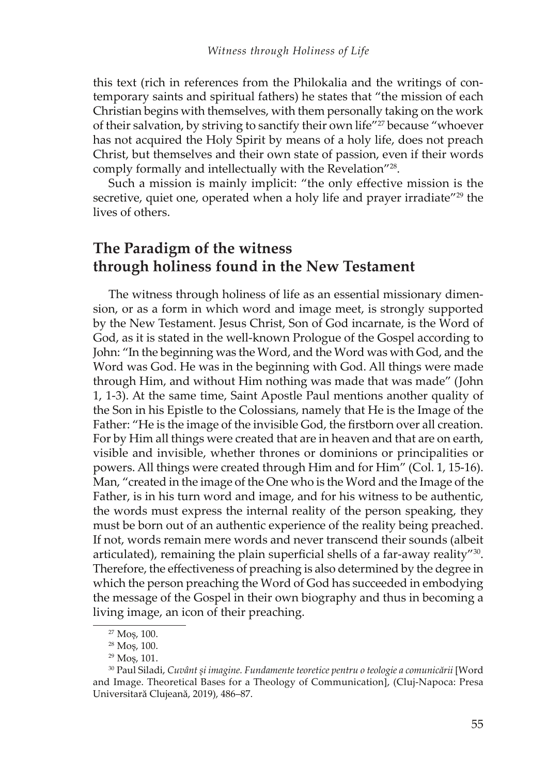this text (rich in references from the Philokalia and the writings of contemporary saints and spiritual fathers) he states that "the mission of each Christian begins with themselves, with them personally taking on the work of their salvation, by striving to sanctify their own life"27 because "whoever has not acquired the Holy Spirit by means of a holy life, does not preach Christ, but themselves and their own state of passion, even if their words comply formally and intellectually with the Revelation"28.

Such a mission is mainly implicit: "the only effective mission is the secretive, quiet one, operated when a holy life and prayer irradiate"<sup>29</sup> the lives of others.

## **The Paradigm of the witness through holiness found in the New Testament**

The witness through holiness of life as an essential missionary dimension, or as a form in which word and image meet, is strongly supported by the New Testament. Jesus Christ, Son of God incarnate, is the Word of God, as it is stated in the well-known Prologue of the Gospel according to John: "In the beginning was the Word, and the Word was with God, and the Word was God. He was in the beginning with God. All things were made through Him, and without Him nothing was made that was made" (John 1, 1-3). At the same time, Saint Apostle Paul mentions another quality of the Son in his Epistle to the Colossians, namely that He is the Image of the Father: "He is the image of the invisible God, the firstborn over all creation. For by Him all things were created that are in heaven and that are on earth, visible and invisible, whether thrones or dominions or principalities or powers. All things were created through Him and for Him" (Col. 1, 15-16). Man, "created in the image of the One who is the Word and the Image of the Father, is in his turn word and image, and for his witness to be authentic, the words must express the internal reality of the person speaking, they must be born out of an authentic experience of the reality being preached. If not, words remain mere words and never transcend their sounds (albeit articulated), remaining the plain superficial shells of a far-away reality"<sup>30</sup>. Therefore, the effectiveness of preaching is also determined by the degree in which the person preaching the Word of God has succeeded in embodying the message of the Gospel in their own biography and thus in becoming a living image, an icon of their preaching.

 $27$  Mos, 100.

<sup>&</sup>lt;sup>28</sup> Mos, 100.

 $29$  Mos, 101.

<sup>&</sup>lt;sup>30</sup> Paul Siladi, *Cuvânt și imagine. Fundamente teoretice pentru o teologie a comunicării* [Word and Image. Theoretical Bases for a Theology of Communication], (Cluj-Napoca: Presa Universitară Clujeană, 2019), 486-87.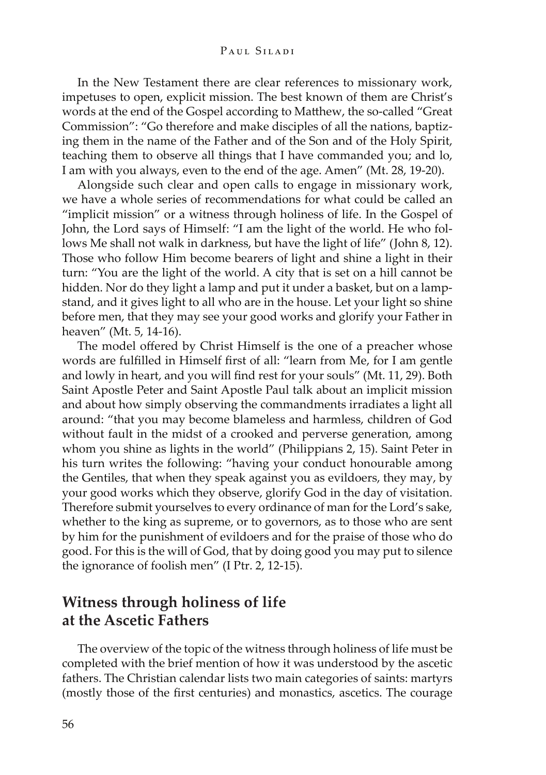#### Рані, *Shadi*

In the New Testament there are clear references to missionary work, impetuses to open, explicit mission. The best known of them are Christ's words at the end of the Gospel according to Matthew, the so-called "Great Commission": "Go therefore and make disciples of all the nations, baptiz ing them in the name of the Father and of the Son and of the Holy Spirit, teaching them to observe all things that I have commanded you; and lo, I am with you always, even to the end of the age. Amen" (Mt. 28, 19-20).

Alongside such clear and open calls to engage in missionary work, we have a whole series of recommendations for what could be called an "implicit mission" or a witness through holiness of life. In the Gospel of John, the Lord says of Himself: "I am the light of the world. He who follows Me shall not walk in darkness, but have the light of life" (John 8, 12). Those who follow Him become bearers of light and shine a light in their turn: "You are the light of the world. A city that is set on a hill cannot be hidden. Nor do they light a lamp and put it under a basket, but on a lamp stand, and it gives light to all who are in the house. Let your light so shine before men, that they may see your good works and glorify your Father in heaven" (Mt. 5, 14-16).

The model offered by Christ Himself is the one of a preacher whose words are fulfilled in Himself first of all: "learn from Me, for I am gentle and lowly in heart, and you will find rest for your souls" (Mt. 11, 29). Both Saint Apostle Peter and Saint Apostle Paul talk about an implicit mission and about how simply observing the commandments irradiates a light all around: "that you may become blameless and harmless, children of God without fault in the midst of a crooked and perverse generation, among whom you shine as lights in the world" (Philippians 2, 15). Saint Peter in his turn writes the following: "having your conduct honourable among the Gentiles, that when they speak against you as evildoers, they may, by your good works which they observe, glorify God in the day of visitation. Therefore submit yourselves to every ordinance of man for the Lord's sake, whether to the king as supreme, or to governors, as to those who are sent by him for the punishment of evildoers and for the praise of those who do good. For this is the will of God, that by doing good you may put to silence the ignorance of foolish men" (I Ptr. 2, 12-15).

### **Witness through holiness of life at the Ascetic Fathers**

The overview of the topic of the witness through holiness of life must be completed with the brief mention of how it was understood by the ascetic fathers. The Christian calendar lists two main categories of saints: martyrs (mostly those of the first centuries) and monastics, ascetics. The courage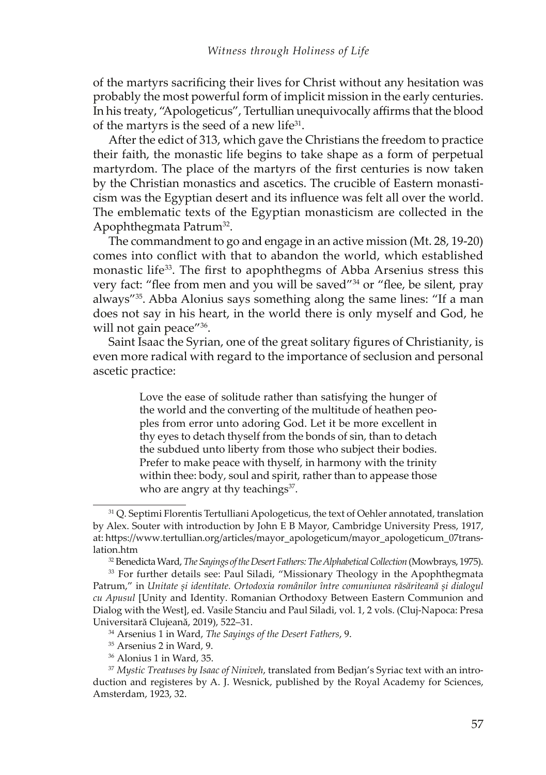of the martyrs sacrificing their lives for Christ without any hesitation was probably the most powerful form of implicit mission in the early centuries. In his treaty, "Apologeticus", Tertullian unequivocally affirms that the blood of the martyrs is the seed of a new life $31$ .

After the edict of 313, which gave the Christians the freedom to practice their faith, the monastic life begins to take shape as a form of perpetual martyrdom. The place of the martyrs of the first centuries is now taken by the Christian monastics and ascetics. The crucible of Eastern monasti cism was the Egyptian desert and its influence was felt all over the world. The emblematic texts of the Egyptian monasticism are collected in the Apophthegmata Patrum32.

The commandment to go and engage in an active mission (Mt. 28, 19-20) comes into conflict with that to abandon the world, which established monastic life<sup>33</sup>. The first to apophthegms of Abba Arsenius stress this very fact: "flee from men and you will be saved"<sup>34</sup> or "flee, be silent, pray always"35. Abba Alonius says something along the same lines: "If a man does not say in his heart, in the world there is only myself and God, he will not gain peace"<sup>36</sup>.

Saint Isaac the Syrian, one of the great solitary figures of Christianity, is even more radical with regard to the importance of seclusion and personal ascetic practice:

> Love the ease of solitude rather than satisfying the hunger of the world and the converting of the multitude of heathen peo ples from error unto adoring God. Let it be more excellent in thy eyes to detach thyself from the bonds of sin, than to detach the subdued unto liberty from those who subject their bodies. Prefer to make peace with thyself, in harmony with the trinity within thee: body, soul and spirit, rather than to appease those who are angry at thy teachings $37$ .

<sup>&</sup>lt;sup>31</sup> Q. Septimi Florentis Tertulliani Apologeticus, the text of Oehler annotated, translation by Alex. Souter with introduction by John E B Mayor, Cambridge University Press, 1917, at: https://www.tertullian.org/articles/mayor\_apologeticum/mayor\_apologeticum\_07translation.htm

<sup>&</sup>lt;sup>32</sup> Benedicta Ward, *The Sayings of the Desert Fathers: The Alphabetical Collection* (Mowbrays, 1975).

<sup>&</sup>lt;sup>33</sup> For further details see: Paul Siladi, "Missionary Theology in the Apophthegmata Patrum," in Unitate și identitate. Ortodoxia românilor între comuniunea răsăriteană și dialogul *ȱȱ*[Unity and Identity. Romanian Orthodoxy Between Eastern Communion and Dialog with the West], ed. Vasile Stanciu and Paul Siladi, vol. 1, 2 vols. (Cluj-Napoca: Presa Universitară Clujeană, 2019), 522-31.

<sup>&</sup>lt;sup>34</sup> Arsenius 1 in Ward, *The Sayings of the Desert Fathers*, 9.

<sup>35</sup> Arsenius 2 in Ward, 9.

<sup>&</sup>lt;sup>36</sup> Alonius 1 in Ward, 35.

<sup>&</sup>lt;sup>37</sup> Mystic Treatuses by Isaac of Niniveh, translated from Bedjan's Syriac text with an introduction and registeres by A. J. Wesnick, published by the Royal Academy for Sciences, Amsterdam, 1923, 32.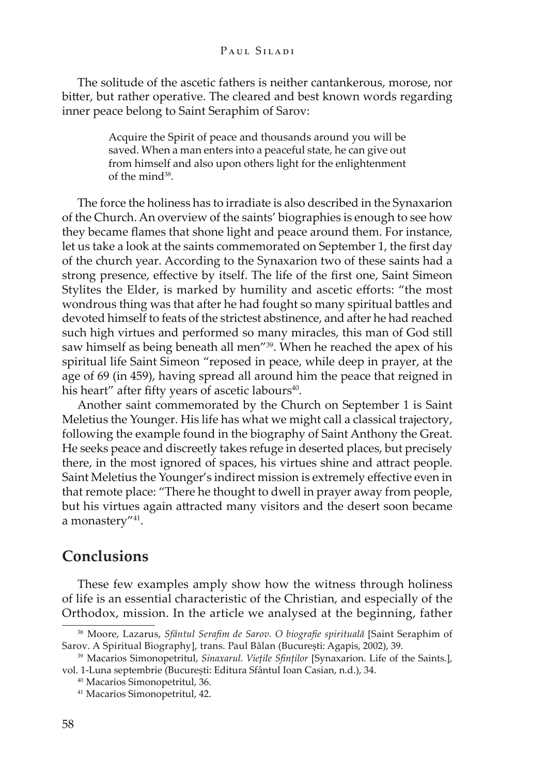#### Рані, *Shadi*

The solitude of the ascetic fathers is neither cantankerous, morose, nor bitter, but rather operative. The cleared and best known words regarding inner peace belong to Saint Seraphim of Sarov:

> Acquire the Spirit of peace and thousands around you will be saved. When a man enters into a peaceful state, he can give out from himself and also upon others light for the enlightenment of the mind<sup>38</sup>.

The force the holiness has to irradiate is also described in the Synaxarion of the Church. An overview of the saints' biographies is enough to see how they became flames that shone light and peace around them. For instance, let us take a look at the saints commemorated on September 1, the first day of the church year. According to the Synaxarion two of these saints had a strong presence, effective by itself. The life of the first one, Saint Simeon Stylites the Elder, is marked by humility and ascetic efforts: "the most wondrous thing was that after he had fought so many spiritual battles and devoted himself to feats of the strictest abstinence, and after he had reached such high virtues and performed so many miracles, this man of God still saw himself as being beneath all men<sup>"39</sup>. When he reached the apex of his spiritual life Saint Simeon "reposed in peace, while deep in prayer, at the age of 69 (in 459), having spread all around him the peace that reigned in his heart" after fifty years of ascetic labours<sup>40</sup>.

Another saint commemorated by the Church on September 1 is Saint Meletius the Younger. His life has what we might call a classical trajectory, following the example found in the biography of Saint Anthony the Great. He seeks peace and discreetly takes refuge in deserted places, but precisely there, in the most ignored of spaces, his virtues shine and attract people. Saint Meletius the Younger's indirect mission is extremely effective even in that remote place: "There he thought to dwell in prayer away from people, but his virtues again attracted many visitors and the desert soon became a monastery"41.

### **Conclusions**

These few examples amply show how the witness through holiness of life is an essential characteristic of the Christian, and especially of the Orthodox, mission. In the article we analysed at the beginning, father

<sup>&</sup>lt;sup>38</sup> Moore, Lazarus, Sfântul Serafim de Sarov. O biografie spirituală [Saint Seraphim of Sarov. A Spiritual Biography], trans. Paul Bălan (București: Agapis, 2002), 39.

<sup>&</sup>lt;sup>39</sup> Macarios Simonopetritul, *Sinaxarul. Viețile Sfinților* [Synaxarion. Life of the Saints.], vol. 1-Luna septembrie (București: Editura Sfântul Ioan Casian, n.d.), 34.

<sup>&</sup>lt;sup>40</sup> Macarios Simonopetritul, 36.

<sup>41</sup> Macarios Simonopetritul, 42.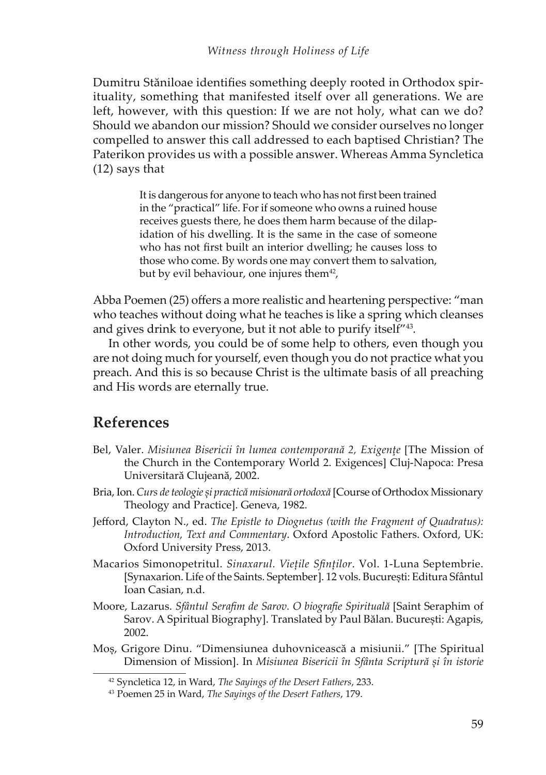Dumitru Stăniloae identifies something deeply rooted in Orthodox spirituality, something that manifested itself over all generations. We are left, however, with this question: If we are not holy, what can we do? Should we abandon our mission? Should we consider ourselves no longer compelled to answer this call addressed to each baptised Christian? The Paterikon provides us with a possible answer. Whereas Amma Syncletica (12) says that

> It is dangerous for anyone to teach who has not first been trained in the "practical" life. For if someone who owns a ruined house receives guests there, he does them harm because of the dilapidation of his dwelling. It is the same in the case of someone who has not first built an interior dwelling; he causes loss to those who come. By words one may convert them to salvation, but by evil behaviour, one injures them $42$ ,

Abba Poemen (25) offers a more realistic and heartening perspective: "man who teaches without doing what he teaches is like a spring which cleanses and gives drink to everyone, but it not able to purify itself<sup>"43</sup>.

In other words, you could be of some help to others, even though you are not doing much for yourself, even though you do not practice what you preach. And this is so because Christ is the ultimate basis of all preaching and His words are eternally true.

### **References**

- Bel, Valer. *Misiunea Bisericii în lumea contemporană 2, Exigențe* [The Mission of the Church in the Contemporary World 2. Exigences] Cluj-Napoca: Presa Universitară Clujeană, 2002.
- Bria, Ion. *Curs de teologie și practică misionară ortodoxă* [Course of Orthodox Missionary Theology and Practice]. Geneva, 1982.
- Jefford, Clayton N., ed. The Epistle to Diognetus (with the Fragment of Quadratus): *Introduction, Text and Commentary. Oxford Apostolic Fathers. Oxford, UK:* Oxford University Press, 2013.
- Macarios Simonopetritul. Sinaxarul. Viețile Sfinților. Vol. 1-Luna Septembrie. [Synaxarion. Life of the Saints. September]. 12 vols. București: Editura Sfântul Ioan Casian, n.d.
- Moore, Lazarus. *Sfântul Serafim de Sarov. O biografie Spirituală* [Saint Seraphim of Sarov. A Spiritual Biography]. Translated by Paul Bălan. București: Agapis, 2002.
- Mos, Grigore Dinu. "Dimensiunea duhovnicească a misiunii." [The Spiritual Dimension of Mission]. In *Misiunea Bisericii în Sfânta Scriptură și în istorie*

<sup>&</sup>lt;sup>42</sup> Syncletica 12, in Ward, *The Sayings of the Desert Fathers*, 233.

<sup>&</sup>lt;sup>43</sup> Poemen 25 in Ward, *The Sayings of the Desert Fathers*, 179.